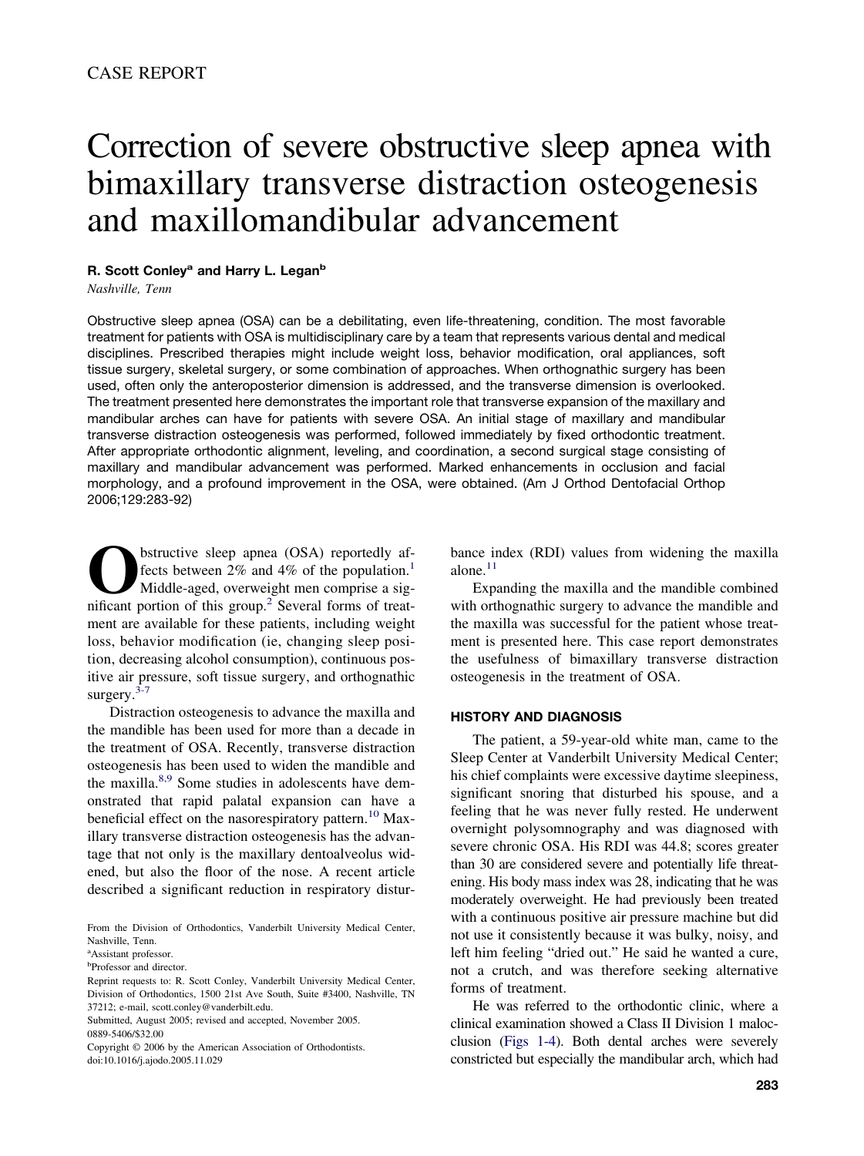# Correction of severe obstructive sleep apnea with bimaxillary transverse distraction osteogenesis and maxillomandibular advancement

# **R. Scott Conley<sup>a</sup> and Harry L. Legan<sup>b</sup>**

*Nashville, Tenn*

Obstructive sleep apnea (OSA) can be a debilitating, even life-threatening, condition. The most favorable treatment for patients with OSA is multidisciplinary care by a team that represents various dental and medical disciplines. Prescribed therapies might include weight loss, behavior modification, oral appliances, soft tissue surgery, skeletal surgery, or some combination of approaches. When orthognathic surgery has been used, often only the anteroposterior dimension is addressed, and the transverse dimension is overlooked. The treatment presented here demonstrates the important role that transverse expansion of the maxillary and mandibular arches can have for patients with severe OSA. An initial stage of maxillary and mandibular transverse distraction osteogenesis was performed, followed immediately by fixed orthodontic treatment. After appropriate orthodontic alignment, leveling, and coordination, a second surgical stage consisting of maxillary and mandibular advancement was performed. Marked enhancements in occlusion and facial morphology, and a profound improvement in the OSA, were obtained. (Am J Orthod Dentofacial Orthop 2006;129:283-92)

**O**bstructive sleep apnea (OSA) reportedly af-<br>fects between 2% and 4% of the population.<sup>1</sup><br>Middle-aged, overweight men comprise a sig-<br>nificant portion of this group<sup>2</sup> Several forms of treatfects between  $2\%$  and  $4\%$  of the population.<sup>1</sup> Middle-aged, overweight men comprise a significant portion of this group.<sup>2</sup> Several forms of treatment are available for these patients, including weight loss, behavior modification (ie, changing sleep position, decreasing alcohol consumption), continuous positive air pressure, soft tissue surgery, and orthognathic surgery.<sup>3-7</sup>

Distraction osteogenesis to advance the maxilla and the mandible has been used for more than a decade in the treatment of OSA. Recently, transverse distraction osteogenesis has been used to widen the mandible and the maxilla. $8,9$  Some studies in adolescents have demonstrated that rapid palatal expansion can have a beneficial effect on the nasorespiratory pattern.<sup>10</sup> Maxillary transverse distraction osteogenesis has the advantage that not only is the maxillary dentoalveolus widened, but also the floor of the nose. A recent article described a significant reduction in respiratory distur-

Copyright © 2006 by the American Association of Orthodontists. doi:10.1016/j.ajodo.2005.11.029

bance index (RDI) values from widening the maxilla alone. $11$ 

Expanding the maxilla and the mandible combined with orthognathic surgery to advance the mandible and the maxilla was successful for the patient whose treatment is presented here. This case report demonstrates the usefulness of bimaxillary transverse distraction osteogenesis in the treatment of OSA.

#### **HISTORY AND DIAGNOSIS**

The patient, a 59-year-old white man, came to the Sleep Center at Vanderbilt University Medical Center; his chief complaints were excessive daytime sleepiness, significant snoring that disturbed his spouse, and a feeling that he was never fully rested. He underwent overnight polysomnography and was diagnosed with severe chronic OSA. His RDI was 44.8; scores greater than 30 are considered severe and potentially life threatening. His body mass index was 28, indicating that he was moderately overweight. He had previously been treated with a continuous positive air pressure machine but did not use it consistently because it was bulky, noisy, and left him feeling "dried out." He said he wanted a cure, not a crutch, and was therefore seeking alternative forms of treatment.

He was referred to the orthodontic clinic, where a clinical examination showed a Class II Division 1 malocclusion [\(Figs](#page-1-0) 1[-4\).](#page-2-0) Both dental arches were severely constricted but especially the mandibular arch, which had

From the Division of Orthodontics, Vanderbilt University Medical Center, Nashville, Tenn.

a Assistant professor.

**Professor** and director.

Reprint requests to: R. Scott Conley, Vanderbilt University Medical Center, Division of Orthodontics, 1500 21st Ave South, Suite #3400, Nashville, TN 37212; e-mail, scott.conley@vanderbilt.edu.

Submitted, August 2005; revised and accepted, November 2005. 0889-5406/\$32.00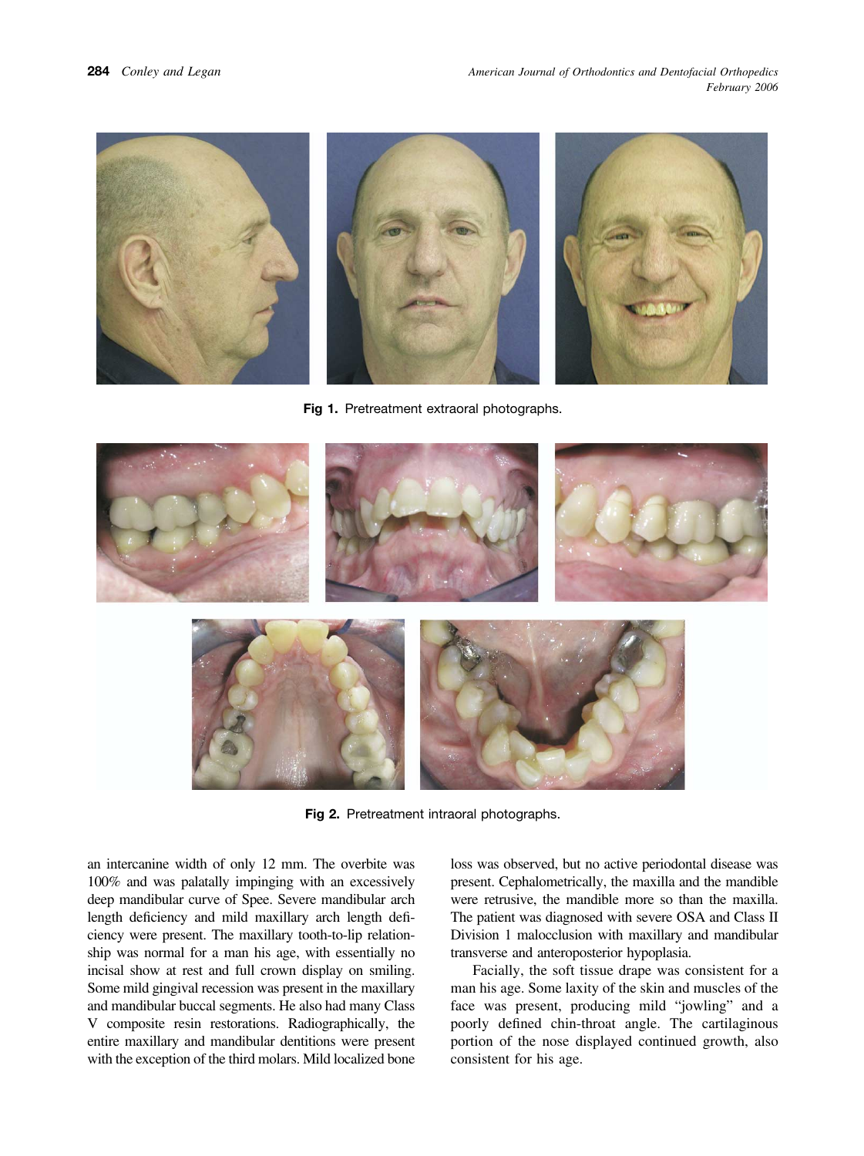<span id="page-1-0"></span>

**Fig 1.** Pretreatment extraoral photographs.



**Fig 2.** Pretreatment intraoral photographs.

an intercanine width of only 12 mm. The overbite was 100% and was palatally impinging with an excessively deep mandibular curve of Spee. Severe mandibular arch length deficiency and mild maxillary arch length deficiency were present. The maxillary tooth-to-lip relationship was normal for a man his age, with essentially no incisal show at rest and full crown display on smiling. Some mild gingival recession was present in the maxillary and mandibular buccal segments. He also had many Class V composite resin restorations. Radiographically, the entire maxillary and mandibular dentitions were present with the exception of the third molars. Mild localized bone loss was observed, but no active periodontal disease was present. Cephalometrically, the maxilla and the mandible were retrusive, the mandible more so than the maxilla. The patient was diagnosed with severe OSA and Class II Division 1 malocclusion with maxillary and mandibular transverse and anteroposterior hypoplasia.

Facially, the soft tissue drape was consistent for a man his age. Some laxity of the skin and muscles of the face was present, producing mild "jowling" and a poorly defined chin-throat angle. The cartilaginous portion of the nose displayed continued growth, also consistent for his age.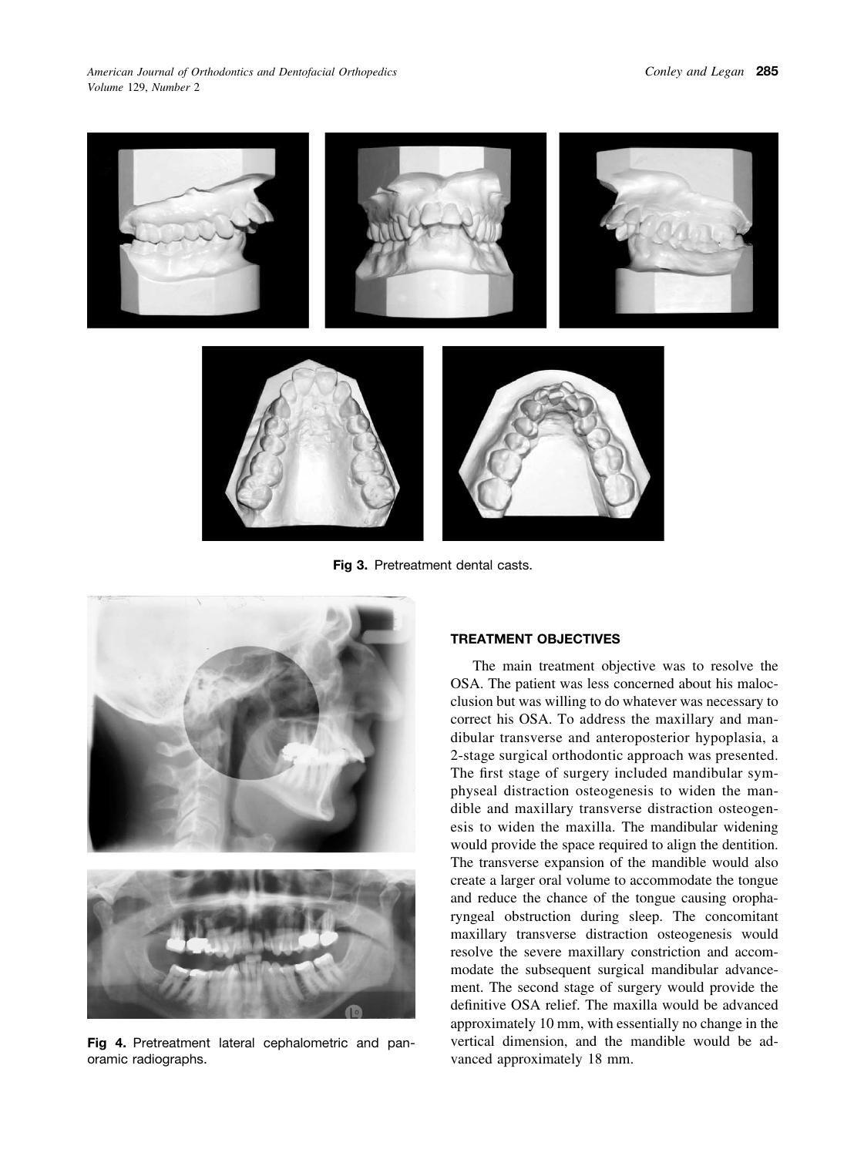<span id="page-2-0"></span>

**Fig 3.** Pretreatment dental casts.



**Fig 4.** Pretreatment lateral cephalometric and panoramic radiographs.

### **TREATMENT OBJECTIVES**

The main treatment objective was to resolve the OSA. The patient was less concerned about his malocclusion but was willing to do whatever was necessary to correct his OSA. To address the maxillary and mandibular transverse and anteroposterior hypoplasia, a 2-stage surgical orthodontic approach was presented. The first stage of surgery included mandibular symphyseal distraction osteogenesis to widen the mandible and maxillary transverse distraction osteogenesis to widen the maxilla. The mandibular widening would provide the space required to align the dentition. The transverse expansion of the mandible would also create a larger oral volume to accommodate the tongue and reduce the chance of the tongue causing oropharyngeal obstruction during sleep. The concomitant maxillary transverse distraction osteogenesis would resolve the severe maxillary constriction and accommodate the subsequent surgical mandibular advancement. The second stage of surgery would provide the definitive OSA relief. The maxilla would be advanced approximately 10 mm, with essentially no change in the vertical dimension, and the mandible would be advanced approximately 18 mm.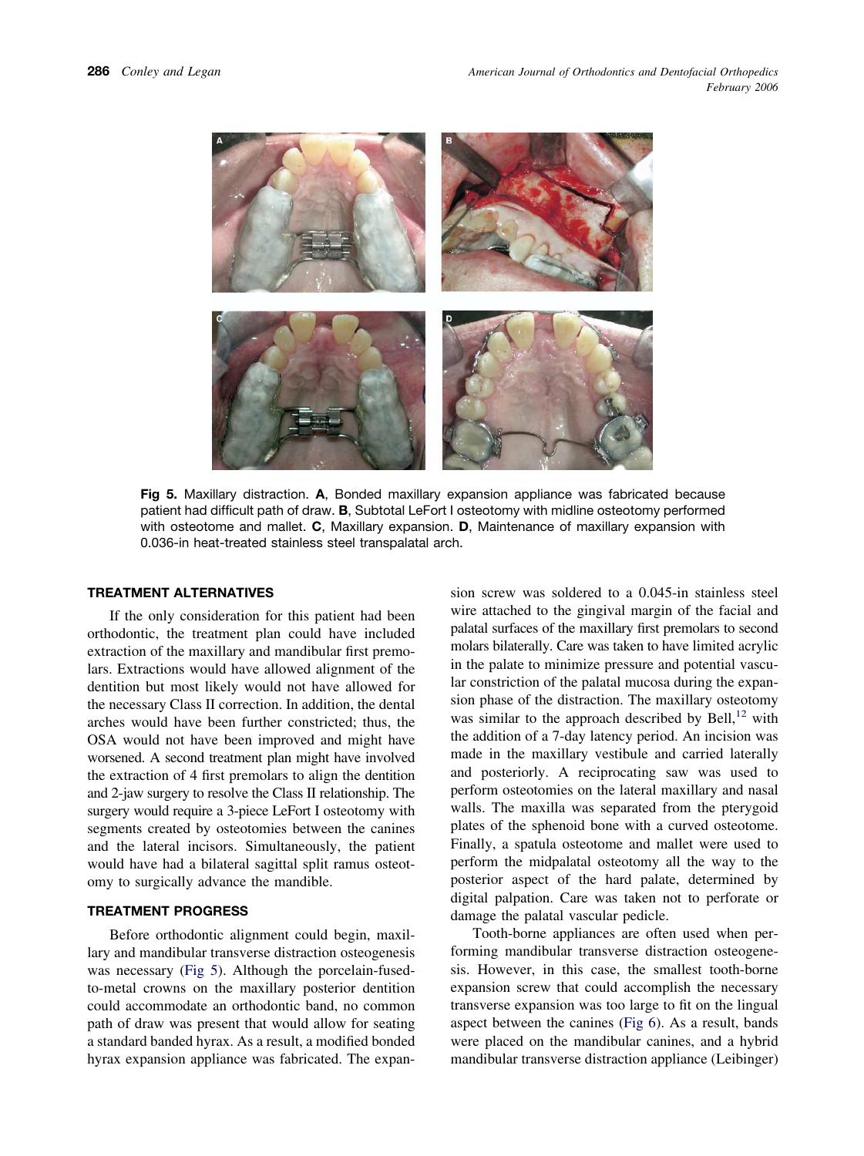

**Fig 5.** Maxillary distraction. **A**, Bonded maxillary expansion appliance was fabricated because patient had difficult path of draw. **B**, Subtotal LeFort I osteotomy with midline osteotomy performed with osteotome and mallet. **C**, Maxillary expansion. **D**, Maintenance of maxillary expansion with 0.036-in heat-treated stainless steel transpalatal arch.

# **TREATMENT ALTERNATIVES**

If the only consideration for this patient had been orthodontic, the treatment plan could have included extraction of the maxillary and mandibular first premolars. Extractions would have allowed alignment of the dentition but most likely would not have allowed for the necessary Class II correction. In addition, the dental arches would have been further constricted; thus, the OSA would not have been improved and might have worsened. A second treatment plan might have involved the extraction of 4 first premolars to align the dentition and 2-jaw surgery to resolve the Class II relationship. The surgery would require a 3-piece LeFort I osteotomy with segments created by osteotomies between the canines and the lateral incisors. Simultaneously, the patient would have had a bilateral sagittal split ramus osteotomy to surgically advance the mandible.

## **TREATMENT PROGRESS**

Before orthodontic alignment could begin, maxillary and mandibular transverse distraction osteogenesis was necessary (Fig 5). Although the porcelain-fusedto-metal crowns on the maxillary posterior dentition could accommodate an orthodontic band, no common path of draw was present that would allow for seating a standard banded hyrax. As a result, a modified bonded hyrax expansion appliance was fabricated. The expan-

sion screw was soldered to a 0.045-in stainless steel wire attached to the gingival margin of the facial and palatal surfaces of the maxillary first premolars to second molars bilaterally. Care was taken to have limited acrylic in the palate to minimize pressure and potential vascular constriction of the palatal mucosa during the expansion phase of the distraction. The maxillary osteotomy was similar to the approach described by Bell, $^{12}$  with the addition of a 7-day latency period. An incision was made in the maxillary vestibule and carried laterally and posteriorly. A reciprocating saw was used to perform osteotomies on the lateral maxillary and nasal walls. The maxilla was separated from the pterygoid plates of the sphenoid bone with a curved osteotome. Finally, a spatula osteotome and mallet were used to perform the midpalatal osteotomy all the way to the posterior aspect of the hard palate, determined by digital palpation. Care was taken not to perforate or damage the palatal vascular pedicle.

Tooth-borne appliances are often used when performing mandibular transverse distraction osteogenesis. However, in this case, the smallest tooth-borne expansion screw that could accomplish the necessary transverse expansion was too large to fit on the lingual aspect between the canines [\(Fig](#page-4-0) 6). As a result, bands were placed on the mandibular canines, and a hybrid mandibular transverse distraction appliance (Leibinger)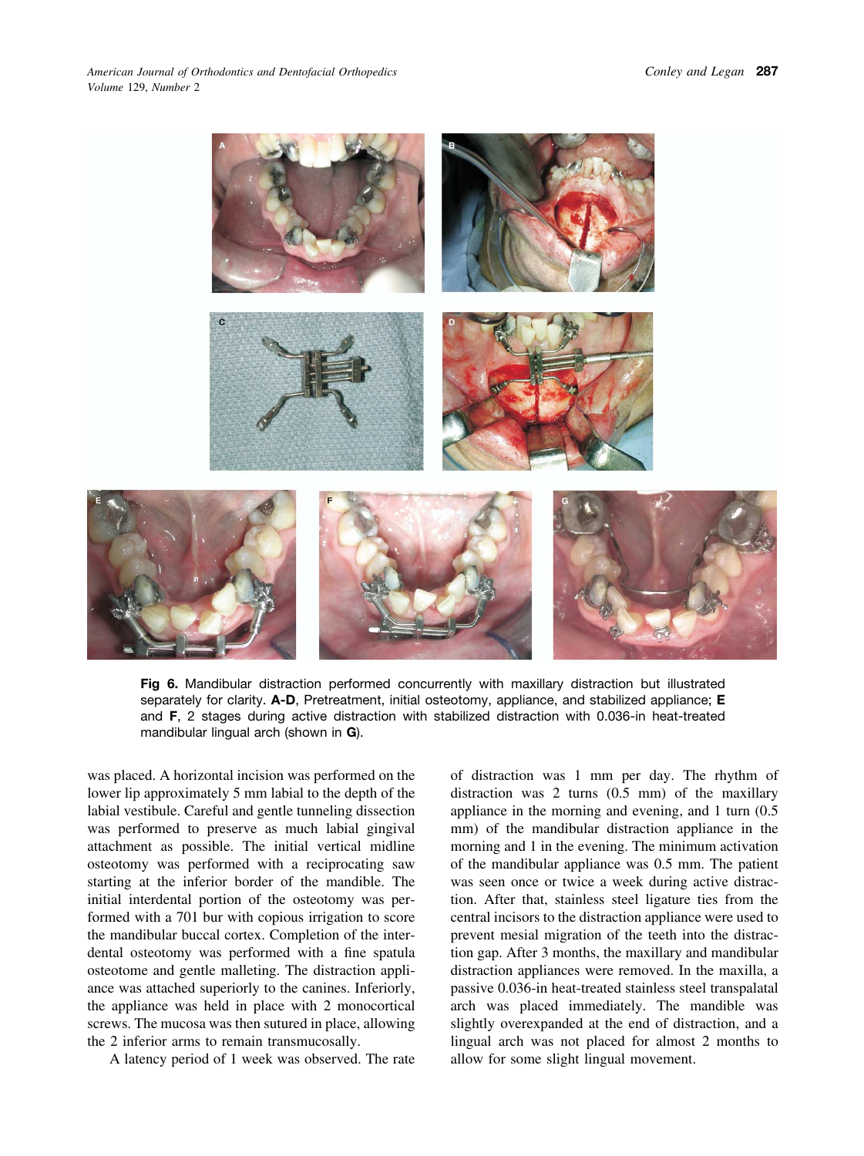<span id="page-4-0"></span>

**Fig 6.** Mandibular distraction performed concurrently with maxillary distraction but illustrated separately for clarity. **A-D**, Pretreatment, initial osteotomy, appliance, and stabilized appliance; **E** and **F**, 2 stages during active distraction with stabilized distraction with 0.036-in heat-treated mandibular lingual arch (shown in **G**).

was placed. A horizontal incision was performed on the lower lip approximately 5 mm labial to the depth of the labial vestibule. Careful and gentle tunneling dissection was performed to preserve as much labial gingival attachment as possible. The initial vertical midline osteotomy was performed with a reciprocating saw starting at the inferior border of the mandible. The initial interdental portion of the osteotomy was performed with a 701 bur with copious irrigation to score the mandibular buccal cortex. Completion of the interdental osteotomy was performed with a fine spatula osteotome and gentle malleting. The distraction appliance was attached superiorly to the canines. Inferiorly, the appliance was held in place with 2 monocortical screws. The mucosa was then sutured in place, allowing the 2 inferior arms to remain transmucosally.

A latency period of 1 week was observed. The rate

of distraction was 1 mm per day. The rhythm of distraction was 2 turns (0.5 mm) of the maxillary appliance in the morning and evening, and 1 turn (0.5 mm) of the mandibular distraction appliance in the morning and 1 in the evening. The minimum activation of the mandibular appliance was 0.5 mm. The patient was seen once or twice a week during active distraction. After that, stainless steel ligature ties from the central incisors to the distraction appliance were used to prevent mesial migration of the teeth into the distraction gap. After 3 months, the maxillary and mandibular distraction appliances were removed. In the maxilla, a passive 0.036-in heat-treated stainless steel transpalatal arch was placed immediately. The mandible was slightly overexpanded at the end of distraction, and a lingual arch was not placed for almost 2 months to allow for some slight lingual movement.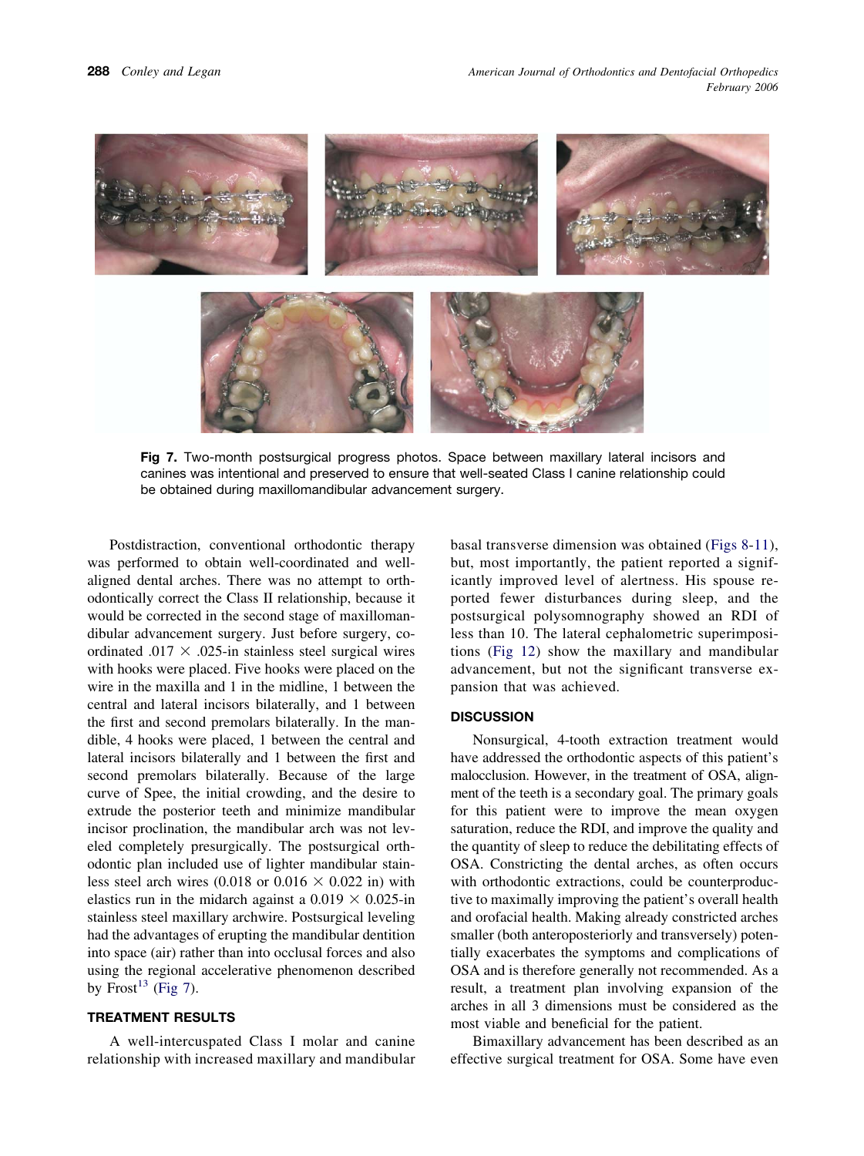

**Fig 7.** Two-month postsurgical progress photos. Space between maxillary lateral incisors and canines was intentional and preserved to ensure that well-seated Class I canine relationship could be obtained during maxillomandibular advancement surgery.

Postdistraction, conventional orthodontic therapy was performed to obtain well-coordinated and wellaligned dental arches. There was no attempt to orthodontically correct the Class II relationship, because it would be corrected in the second stage of maxillomandibular advancement surgery. Just before surgery, coordinated .017  $\times$  .025-in stainless steel surgical wires with hooks were placed. Five hooks were placed on the wire in the maxilla and 1 in the midline, 1 between the central and lateral incisors bilaterally, and 1 between the first and second premolars bilaterally. In the mandible, 4 hooks were placed, 1 between the central and lateral incisors bilaterally and 1 between the first and second premolars bilaterally. Because of the large curve of Spee, the initial crowding, and the desire to extrude the posterior teeth and minimize mandibular incisor proclination, the mandibular arch was not leveled completely presurgically. The postsurgical orthodontic plan included use of lighter mandibular stainless steel arch wires (0.018 or 0.016  $\times$  0.022 in) with elastics run in the midarch against a  $0.019 \times 0.025$ -in stainless steel maxillary archwire. Postsurgical leveling had the advantages of erupting the mandibular dentition into space (air) rather than into occlusal forces and also using the regional accelerative phenomenon described by Frost<sup>13</sup> (Fig 7).

### **TREATMENT RESULTS**

A well-intercuspated Class I molar and canine relationship with increased maxillary and mandibular basal transverse dimension was obtained [\(Figs](#page-6-0) 8-[11\)](#page-7-0), but, most importantly, the patient reported a significantly improved level of alertness. His spouse reported fewer disturbances during sleep, and the postsurgical polysomnography showed an RDI of less than 10. The lateral cephalometric superimpositions [\(Fig](#page-8-0) 12) show the maxillary and mandibular advancement, but not the significant transverse expansion that was achieved.

#### **DISCUSSION**

Nonsurgical, 4-tooth extraction treatment would have addressed the orthodontic aspects of this patient's malocclusion. However, in the treatment of OSA, alignment of the teeth is a secondary goal. The primary goals for this patient were to improve the mean oxygen saturation, reduce the RDI, and improve the quality and the quantity of sleep to reduce the debilitating effects of OSA. Constricting the dental arches, as often occurs with orthodontic extractions, could be counterproductive to maximally improving the patient's overall health and orofacial health. Making already constricted arches smaller (both anteroposteriorly and transversely) potentially exacerbates the symptoms and complications of OSA and is therefore generally not recommended. As a result, a treatment plan involving expansion of the arches in all 3 dimensions must be considered as the most viable and beneficial for the patient.

Bimaxillary advancement has been described as an effective surgical treatment for OSA. Some have even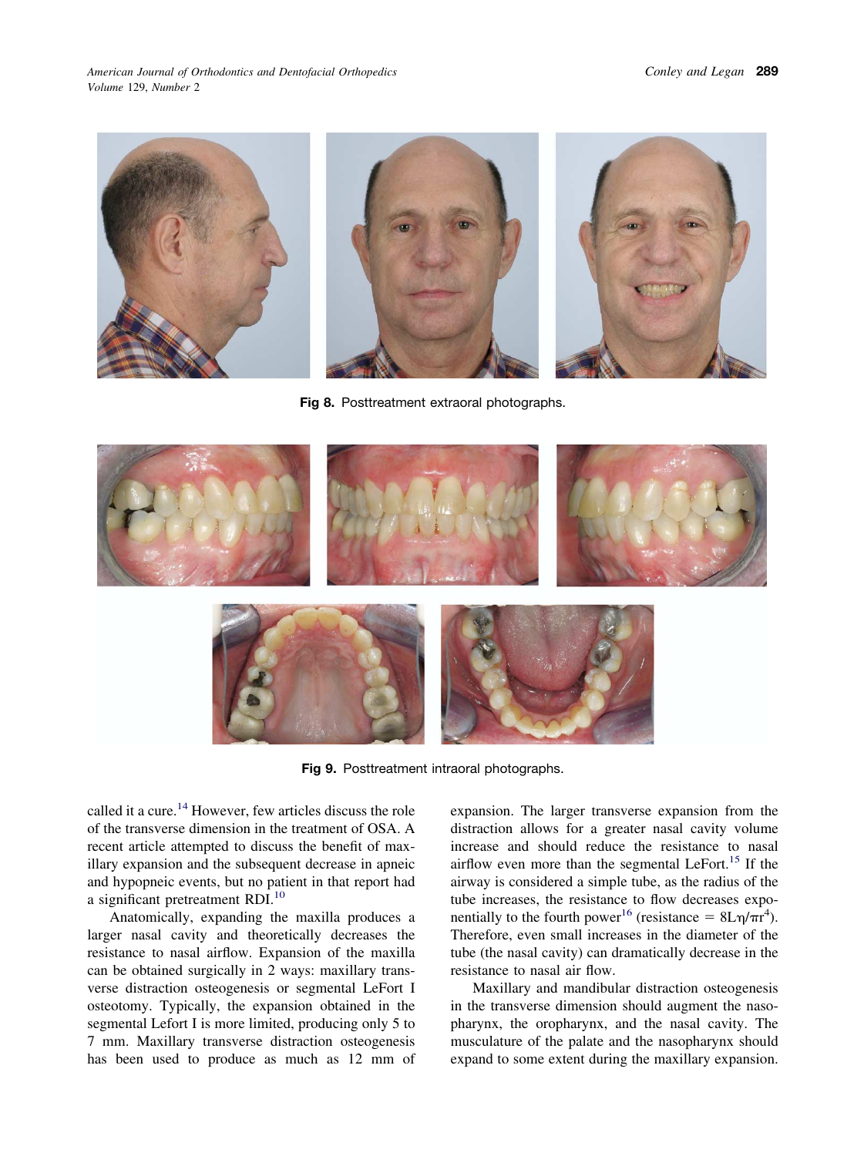<span id="page-6-0"></span>*American Journal of Orthodontics and Dentofacial Orthopedics Volume* 129, *Number* 2



**Fig 8.** Posttreatment extraoral photographs.



**Fig 9.** Posttreatment intraoral photographs.

called it a cure[.14](#page-9-0) However, few articles discuss the role of the transverse dimension in the treatment of OSA. A recent article attempted to discuss the benefit of maxillary expansion and the subsequent decrease in apneic and hypopneic events, but no patient in that report had a significant pretreatment RDI.<sup>10</sup>

Anatomically, expanding the maxilla produces a larger nasal cavity and theoretically decreases the resistance to nasal airflow. Expansion of the maxilla can be obtained surgically in 2 ways: maxillary transverse distraction osteogenesis or segmental LeFort I osteotomy. Typically, the expansion obtained in the segmental Lefort I is more limited, producing only 5 to 7 mm. Maxillary transverse distraction osteogenesis has been used to produce as much as 12 mm of expansion. The larger transverse expansion from the distraction allows for a greater nasal cavity volume increase and should reduce the resistance to nasal airflow even more than the segmental LeFort[.15](#page-9-0) If the airway is considered a simple tube, as the radius of the tube increases, the resistance to flow decreases exponentially to the fourth power<sup>16</sup> (resistance =  $8L\eta/\pi r^4$ ). Therefore, even small increases in the diameter of the tube (the nasal cavity) can dramatically decrease in the resistance to nasal air flow.

Maxillary and mandibular distraction osteogenesis in the transverse dimension should augment the nasopharynx, the oropharynx, and the nasal cavity. The musculature of the palate and the nasopharynx should expand to some extent during the maxillary expansion.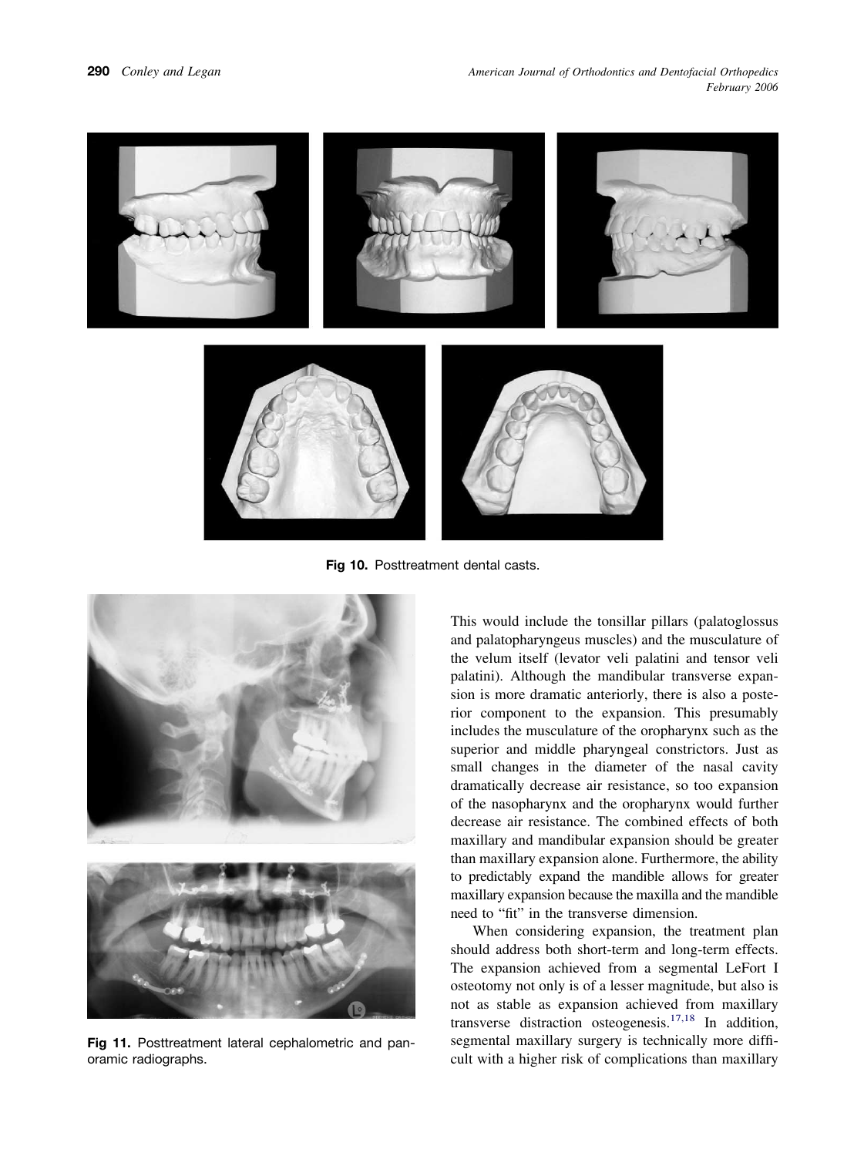<span id="page-7-0"></span>

**Fig 10.** Posttreatment dental casts.



**Fig 11.** Posttreatment lateral cephalometric and panoramic radiographs.

This would include the tonsillar pillars (palatoglossus and palatopharyngeus muscles) and the musculature of the velum itself (levator veli palatini and tensor veli palatini). Although the mandibular transverse expansion is more dramatic anteriorly, there is also a posterior component to the expansion. This presumably includes the musculature of the oropharynx such as the superior and middle pharyngeal constrictors. Just as small changes in the diameter of the nasal cavity dramatically decrease air resistance, so too expansion of the nasopharynx and the oropharynx would further decrease air resistance. The combined effects of both maxillary and mandibular expansion should be greater than maxillary expansion alone. Furthermore, the ability to predictably expand the mandible allows for greater maxillary expansion because the maxilla and the mandible need to "fit" in the transverse dimension.

When considering expansion, the treatment plan should address both short-term and long-term effects. The expansion achieved from a segmental LeFort I osteotomy not only is of a lesser magnitude, but also is not as stable as expansion achieved from maxillary transverse distraction osteogenesis[.17,18](#page-9-0) In addition, segmental maxillary surgery is technically more difficult with a higher risk of complications than maxillary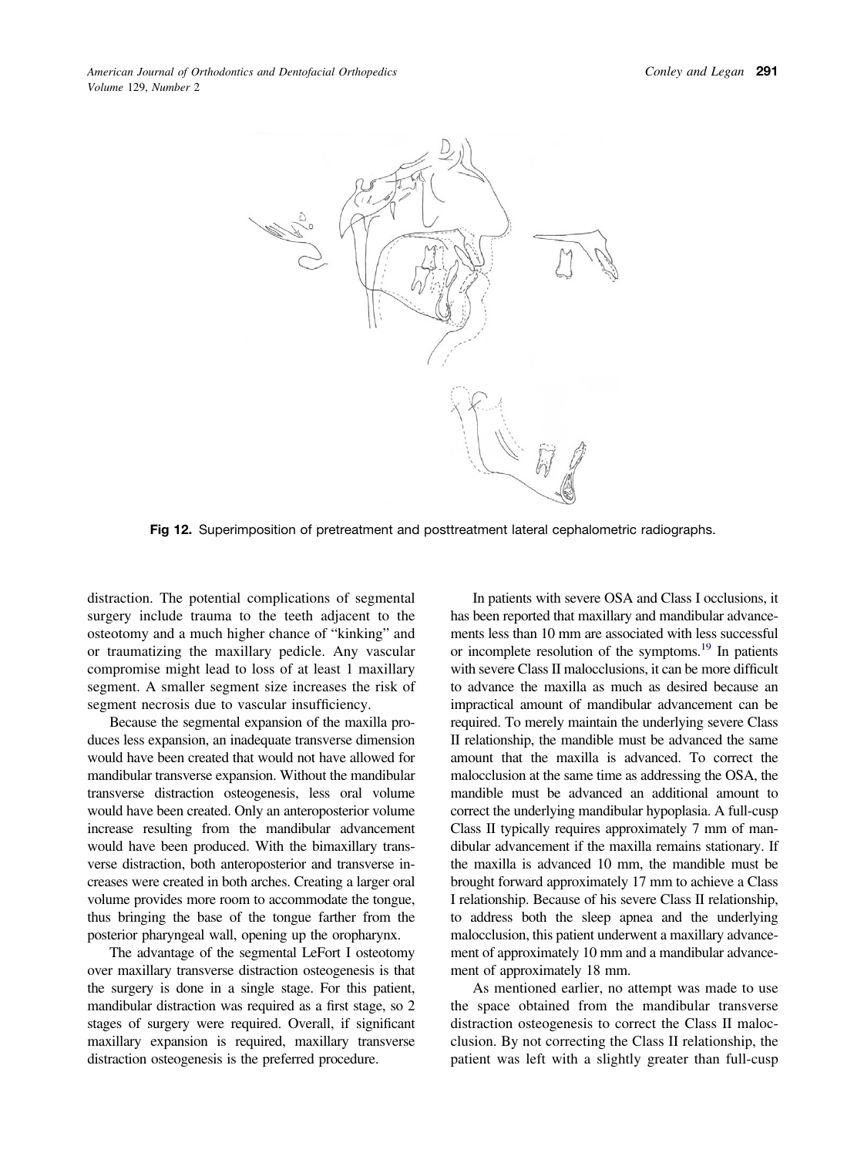<span id="page-8-0"></span>

**Fig 12.** Superimposition of pretreatment and posttreatment lateral cephalometric radiographs.

distraction. The potential complications of segmental surgery include trauma to the teeth adjacent to the osteotomy and a much higher chance of "kinking" and or traumatizing the maxillary pedicle. Any vascular compromise might lead to loss of at least 1 maxillary segment. A smaller segment size increases the risk of segment necrosis due to vascular insufficiency.

Because the segmental expansion of the maxilla produces less expansion, an inadequate transverse dimension would have been created that would not have allowed for mandibular transverse expansion. Without the mandibular transverse distraction osteogenesis, less oral volume would have been created. Only an anteroposterior volume increase resulting from the mandibular advancement would have been produced. With the bimaxillary transverse distraction, both anteroposterior and transverse increases were created in both arches. Creating a larger oral volume provides more room to accommodate the tongue, thus bringing the base of the tongue farther from the posterior pharyngeal wall, opening up the oropharynx.

The advantage of the segmental LeFort I osteotomy over maxillary transverse distraction osteogenesis is that the surgery is done in a single stage. For this patient, mandibular distraction was required as a first stage, so 2 stages of surgery were required. Overall, if significant maxillary expansion is required, maxillary transverse distraction osteogenesis is the preferred procedure.

In patients with severe OSA and Class I occlusions, it has been reported that maxillary and mandibular advancements less than 10 mm are associated with less successful or incomplete resolution of the symptoms.<sup>19</sup> In patients with severe Class II malocclusions, it can be more difficult to advance the maxilla as much as desired because an impractical amount of mandibular advancement can be required. To merely maintain the underlying severe Class II relationship, the mandible must be advanced the same amount that the maxilla is advanced. To correct the malocclusion at the same time as addressing the OSA, the mandible must be advanced an additional amount to correct the underlying mandibular hypoplasia. A full-cusp Class II typically requires approximately 7 mm of mandibular advancement if the maxilla remains stationary. If the maxilla is advanced 10 mm, the mandible must be brought forward approximately 17 mm to achieve a Class I relationship. Because of his severe Class II relationship, to address both the sleep apnea and the underlying malocclusion, this patient underwent a maxillary advancement of approximately 10 mm and a mandibular advancement of approximately 18 mm.

As mentioned earlier, no attempt was made to use the space obtained from the mandibular transverse distraction osteogenesis to correct the Class II malocclusion. By not correcting the Class II relationship, the patient was left with a slightly greater than full-cusp